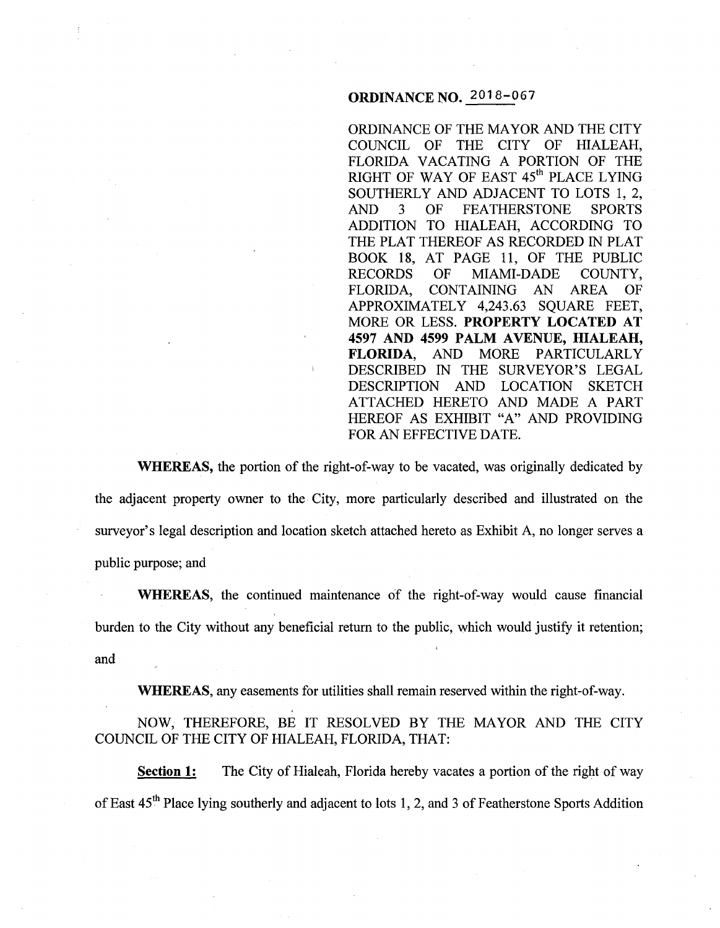## **ORDINANCE NO.** 2018-067

ORDINANCE OF THE MAYOR AND THE CITY COUNCIL OF THE CITY OF HIALEAH, FLORIDA VACATING A PORTION OF THE RIGHT OF WAY OF EAST  $45<sup>th</sup>$  PLACE LYING SOUTHERLY AND ADJACENT TO LOTS 1, 2,<br>AND 3 OF FEATHERSTONE SPORTS 3 OF FEATHERSTONE SPORTS ADDITION TO HIALEAH, ACCORDING TO THE PLAT THEREOF AS RECORDED IN PLAT BOOK 18, AT PAGE 11, OF THE PUBLIC<br>RECORDS OF MIAMI-DADE COUNTY, OF MIAMI-DADE COUNTY, FLORIDA, CONTAINING AN AREA OF APPROXIMATELY 4,243.63 SQUARE FEET, MORE OR LESS. **PROPERTY LOCATED AT 4597 AND 4599 PALM A VENUE, HIALEAH, FLORIDA,** AND MORE PARTICULARLY DESCRIBED IN THE SURVEYOR'S LEGAL DESCRIPTION AND LOCATION SKETCH ATTACHED HERETO AND MADE A PART HEREOF AS EXHIBIT "A" AND PROVIDING FOR AN EFFECTIVE DATE.

**WHEREAS,** the portion of the right-of-way to be vacated, was originally dedicated by the adjacent property owner to the City, more particularly described and illustrated on the surveyor's legal description and location sketch attached hereto as Exhibit A, no longer serves a public purpose; and

**WHEREAS,** the continued maintenance of the right-of-way would cause financial burden to the City without any beneficial return to the public, which would justify it retention; and

**WHEREAS,** any easements for utilities shall remain reserved within the right-of-way.

NOW, THEREFORE, BE IT RESOLVED BY THE MAYOR AND THE CITY COUNCIL OF THE CITY OF HIALEAH, FLORIDA, THAT:

**Section 1:** The City of Hialeah, Florida hereby vacates a portion of the right of way of East 45th Place lying southerly and adjacent to lots **1,** 2, and 3 of Featherstone Sports Addition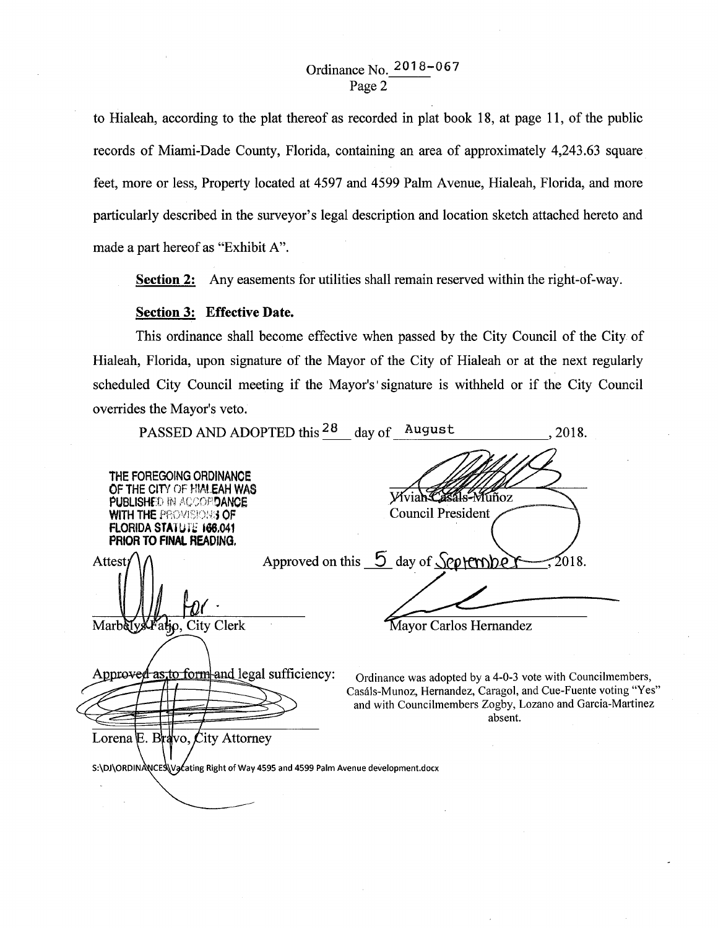# Ordinance No. 2018-067 Page 2

to Hialeah, according to the plat thereof as recorded in plat book 18, at page 11, of the public records of Miami-Dade County, Florida, containing an area of approximately 4,243.63 square feet, more or less, Property located at 4597 and 4599 Palm Avenue, Hialeah, Florida, and more particularly described in the surveyor's legal description and location sketch attached hereto and made a part hereof as "Exhibit A".

Section 2: Any easements for utilities shall remain reserved within the right-of-way.

### Section 3: Effective Date.

This ordinance shall become effective when passed by the City Council of the City of Hialeah, Florida, upon signature of the Mayor of the City of Hialeah or at the next regularly scheduled City Council meeting if the Mayor's' signature is withheld or if the City Council overrides the Mayor's veto.

| ovullats the integer s velo.                                                                                                                                                           |                                                                                                                                                                                                     |
|----------------------------------------------------------------------------------------------------------------------------------------------------------------------------------------|-----------------------------------------------------------------------------------------------------------------------------------------------------------------------------------------------------|
|                                                                                                                                                                                        | PASSED AND ADOPTED this <sup>28</sup> day of August<br>. 2018.                                                                                                                                      |
| THE FOREGOING ORDINANCE<br>OF THE CITY OF HIALEAH WAS<br><b>PUBLISHED IN ACCOPIDANCE</b><br><b>WITH THE PROVISIONS OF</b><br><b>FLORIDA STATUTE 166.041</b><br>PRIOR TO FINAL READING. | Wviah Casals-Muñoz<br><b>Council President</b>                                                                                                                                                      |
| Attest/<br>Marbely Kratjo, City Clerk                                                                                                                                                  | Approved on this $\overline{5}$ day of September-<br>$\lesssim 2018$ .<br>Mayor Carlos Hernandez                                                                                                    |
| Approved as to form and legal sufficiency:<br>Lorena E. Bravo, City Attorney                                                                                                           | Ordinance was adopted by a 4-0-3 vote with Councilmembers,<br>Casáls-Munoz, Hernandez, Caragol, and Cue-Fuente voting "Yes"<br>and with Councilmembers Zogby, Lozano and Garcia-Martinez<br>absent. |
| S:\DJ\ORDINANCES\Vacating Right of Way 4595 and 4599 Palm Avenue development.docx                                                                                                      |                                                                                                                                                                                                     |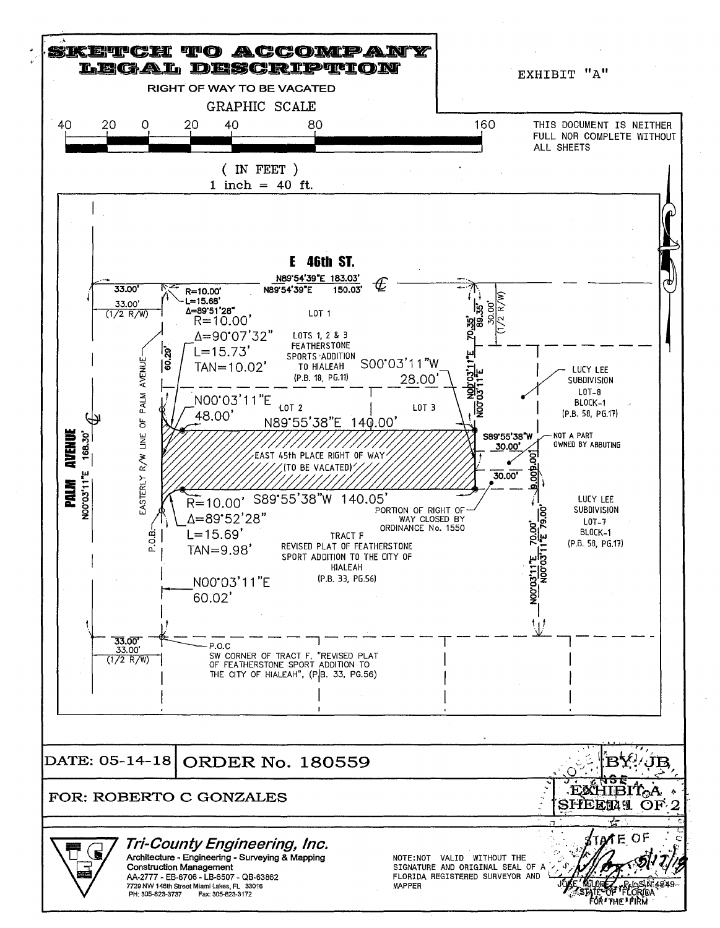